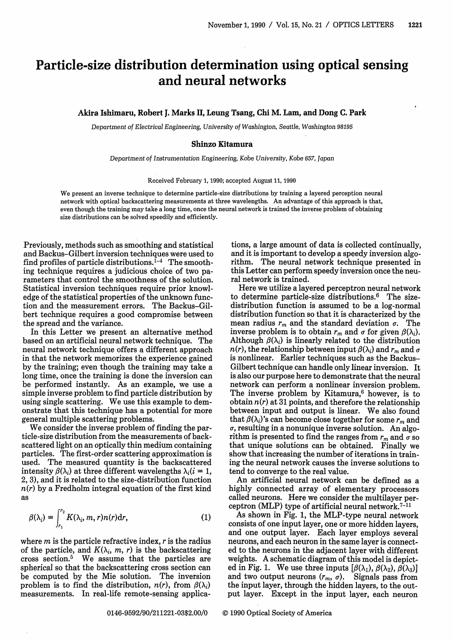## Particle-size distribution determination using optical sensing and neural networks

Akira Ishimaru, **Robert** J. **Marks II, Leung Tsang, Chi M. Lam, and Dong C. Park**

*Department of Electrical Engineering, University of Washington, Seattle, Washington 98195*

## Shinzo Kitamura

*Department of Instrumentation Engineering, Kobe University, Kobe 657, Japan*

Received February 1, 1990; accepted August 11, 1990

We present an inverse technique to determine particle-size distributions by training a layered perception neural network with optical backscattering measurements at three wavelengths. An advantage of this approach is that, even though the training may take a long time, once the neural network is trained the inverse problem of obtaining size distributions can be solved speedily and efficiently.

Previously, methods such as smoothing and statistical and Backus-Gilbert inversion techniques were used to find profiles of particle distributions.<sup> $1-4$ </sup> The smoothing technique requires a judicious choice of two parameters that control the smoothness of the solution. Statistical inversion techniques require prior knowledge of the statistical properties of the unknown function and the measurement errors. The Backus-Gilbert technique requires a good compromise between the spread and the variance.

In this Letter we present an alternative method based on an artificial neural network technique. The neural network technique offers a different approach in that the network memorizes the experience gained by the training; even though the training may take a long time, once the training is done the inversion can be performed instantly. As an example, we use a simple inverse problem to find particle distribution by using single scattering. We use this example to demonstrate that this technique has a potential for more general multiple scattering problems.

We consider the inverse problem of finding the particle-size distribution from the measurements of backscattered light on an optically thin medium containing particles. The first-order scattering approximation is used. The measured quantity is the backscattered intensity  $\beta(\lambda_i)$  at three different wavelengths  $\lambda_i(i = 1,$ 2, 3), and it is related to the size-distribution function  $n(r)$  by a Fredholm integral equation of the first kind as

$$
\beta(\lambda_i) = \int_{r_1}^{r_2} K(\lambda_i, m, r) n(r) dr,
$$
\n(1)

where m is the particle refractive index, *r* is the radius of the particle, and  $K(\lambda_i, m, r)$  is the backscattering cross section.5 We assume that the particles are spherical so that the backscattering cross section can be computed by the Mie solution. The inversion problem is to find the distribution,  $n(r)$ , from  $\beta(\lambda_i)$ measurements. In real-life remote-sensing applica-

tions, a large amount of data is collected continually, and it is important to develop a speedy inversion algorithm. The neural network technique presented in this Letter can perform speedy inversion once the neural network is trained.

Here we utilize a layered perceptron neural network to determine particle-size distributions.<sup>6</sup> The sizedistribution function is assumed to be a log-normal distribution function so that it is characterized by the mean radius  $r_m$  and the standard deviation  $\sigma$ . The inverse problem is to obtain  $r_m$  and  $\sigma$  for given  $\beta(\lambda_i)$ . Although  $\beta(\lambda_i)$  is linearly related to the distribution  $n(r)$ , the relationship between input  $\beta(\lambda_i)$  and  $r_m$  and  $\sigma$ is nonlinear. Earlier techniques such as the Backus-Gilbert technique can handle only linear inversion. It is also our purpose here to demonstrate that the neural network can perform a nonlinear inversion problem. The inverse problem by Kitamura, $6$  however, is to obtain *n(r)* at 31 points, and therefore the relationship between input and output is linear. We also found that  $\beta(\lambda_i)'$ s can become close together for some  $r_m$  and  $\sigma$ , resulting in a nonunique inverse solution. An algorithm is presented to find the ranges from  $r_m$  and  $\sigma$  so that unique solutions can be obtained. Finally we show that increasing the number of iterations in training the neural network causes the inverse solutions to tend to converge to the real value.

An artificial neural network can be defined as a highly connected array of elementary processors called neurons. Here we consider the multilayer perceptron (MLP) type of artificial neural network.<sup>7-11</sup>

As shown in Fig. 1, the MLP-type neural network consists of one input layer, one or more hidden layers, and one output layer. Each layer employs several neurons, and each neuron in the same layer is connected to the neurons in the adjacent layer with different weights. A schematic diagram of this model is depicted in Fig. 1. We use three inputs  $[\beta(\lambda_1), \beta(\lambda_2), \beta(\lambda_3)]$ and two output neurons  $(r_m, \sigma)$ . Signals pass from the input layer, through the hidden layers, to the output layer. Except in the input layer, each neuron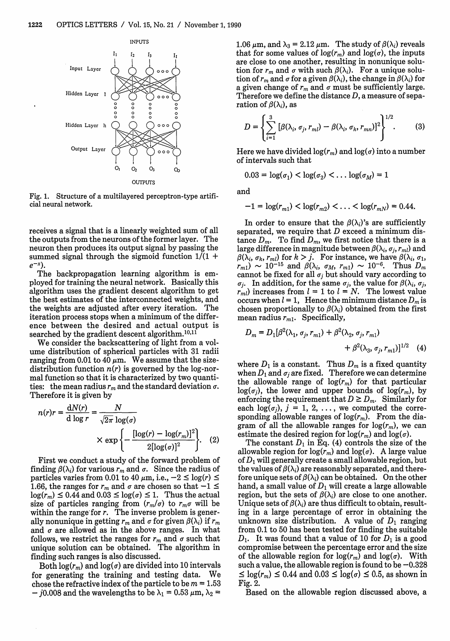

Fig. 1. Structure of a multilayered perceptron-type artificial neural network.

receives a signal that is a linearly weighted sum of all the outputs from the neurons of the former layer. The neuron then produces its output signal by passing the summed signal through the sigmoid function  $1/(1 +$ *e-x)*

The backpropagation learning algorithm is employed for training the neural network. Basically this algorithm uses the gradient descent algorithm to get the best estimates of the interconnected weights, and the weights are adjusted after every iteration. The iteration process stops when a minimum of the difference between the desired and actual output is searched by the gradient descent algorithm. $10,11$ 

We consider the backscattering of light from a volume distribution of spherical particles with 31 radii ranging from 0.01 to 40  $\mu$ m. We assume that the sizedistribution function  $n(r)$  is governed by the log-normal function so that it is characterized by two quantities: the mean radius  $r_m$  and the standard deviation  $\sigma$ . Therefore it is given by

$$
n(r)r = \frac{dN(r)}{d \log r} = \frac{N}{\sqrt{2\pi} \log(\sigma)}
$$

$$
\times \exp\left\{-\frac{[\log(r) - \log(r_m)]^2}{2[\log(\sigma)]^2}\right\}.
$$
 (2)

First we conduct a study of the forward problem of finding  $\beta(\lambda_i)$  for various  $r_m$  and  $\sigma$ . Since the radius of particles varies from 0.01 to 40  $\mu$ m, i.e.,  $-2 \le \log(r) \le$ 1.66, the ranges for  $r_m$  and  $\sigma$  are chosen so that  $-1 \leq$  $\log(r_m) \leq 0.44$  and  $0.03 \leq \log(\sigma) \leq 1$ . Thus the actual size of particles ranging from  $(r_m/\sigma)$  to  $r_m\sigma$  will be within the range for  $r$ . The inverse problem is generally nonunique in getting  $r_m$  and  $\sigma$  for given  $\beta(\lambda_i)$  if  $r_m$ and  $\sigma$  are allowed as in the above ranges. In what follows, we restrict the ranges for  $r_m$  and  $\sigma$  such that unique solution can be obtained. The algorithm in finding such ranges is also discussed.

Both  $\log(r_m)$  and  $\log(\sigma)$  are divided into 10 intervals for generating the training and testing data. We chose the refractive index of the particle to be  $m = 1.53$  $- j0.008$  and the wavelengths to be  $\lambda_1 = 0.53 \mu \text{m}, \lambda_2 =$  1.06  $\mu$ m, and  $\lambda_3 = 2.12 \mu$ m. The study of  $\beta(\lambda_i)$  reveals that for some values of  $log(r_m)$  and  $log(\sigma)$ , the inputs are close to one another, resulting in nonunique solution for  $r_m$  and  $\sigma$  with such  $\beta(\lambda_i)$ . For a unique solution of  $r_m$  and  $\sigma$  for a given  $\beta(\lambda_i)$ , the change in  $\beta(\lambda_i)$  for a given change of  $r_m$  and  $\sigma$  must be sufficiently large. Therefore we define the distance  $D$ , a measure of separation of  $\beta(\lambda_i)$ , as

$$
D = \left\{ \sum_{i=1}^{3} \left[ \beta(\lambda_i, \sigma_j, r_{ml}) - \beta(\lambda_i, \sigma_k, r_{mn}) \right]^2 \right\}^{1/2}.
$$
 (3)

Here we have divided  $log(r_m)$  and  $log(\sigma)$  into a number of intervals such that

$$
0.03 = \log(\sigma_1) < \log(\sigma_2) < \ldots \log(\sigma_M) = 1
$$

and

$$
-1 = \log(r_{m1}) < \log(r_{m2}) < \ldots < \log(r_{mN}) = 0.44.
$$

In order to ensure that the  $\beta(\lambda_i)'$ s are sufficiently separated, we require that *D* exceed a minimum distance  $D_m$ . To find  $D_m$ , we first notice that there is a large difference in magnitude between  $\beta(\lambda_i, \sigma_j, r_{ml})$  and  $\beta(\lambda_i, \sigma_k, r_{ml})$  for  $k > j$ . For instance, we have  $\beta(\lambda_i, \sigma_1,$  $(r_{m1}) \sim 10^{-15}$  and  $\beta(\lambda_i, \sigma_M, r_{m1}) \sim 10^{-6}$ . Thus  $D_m$ cannot be fixed for all  $\sigma_j$  but should vary according to  $\sigma_i$ . In addition, for the same  $\sigma_j$ , the value for  $\beta(\lambda_i, \sigma_j)$ ,  $r_{ml}$ ) increases from  $l = 1$  to  $l = N$ . The lowest value occurs when  $l = 1$ , Hence the minimum distance  $D_m$  is chosen proportionally to  $\beta(\lambda_i)$  obtained from the first mean radius  $r_{m1}$ . Specifically,

$$
D_m = D_1[\beta^2(\lambda_1, \sigma_j, r_{m1}) + \beta^2(\lambda_2, \sigma_j, r_{m1}) + \beta^2(\lambda_3, \sigma_j, r_{m1})]^{1/2}
$$
 (4)

where  $D_1$  is a constant. Thus  $D_m$  is a fixed quantity when  $D_1$  and  $\sigma_i$  are fixed. Therefore we can determine the allowable range of  $log(r_m)$  for that particular  $log(\sigma_i)$ , the lower and upper bounds of  $log(r_m)$ , by enforcing the requirement that  $D \ge D_m$ . Similarly for each  $log(\sigma_i)$ ,  $j = 1, 2, \ldots$ , we computed the corresponding allowable ranges of  $log(r_m)$ . From the diagram of all the allowable ranges for  $log(r_m)$ , we can estimate the desired region for  $log(r_m)$  and  $log(\sigma)$ .

The constant  $D_1$  in Eq. (4) controls the size of the allowable region for  $log(r_m)$  and  $log(\sigma)$ . A large value of *D,* will generally create a small allowable region, but the values of  $\beta(\lambda_i)$  are reasonably separated, and therefore unique sets of  $\beta(\lambda_i)$  can be obtained. On the other hand, a small value of *D,* will create a large allowable region, but the sets of  $\beta(\lambda_i)$  are close to one another. Unique sets of  $\beta(\lambda_i)$  are thus difficult to obtain, resulting in a large percentage of error in obtaining the unknown size distribution. A value of  $D_1$  ranging from 0.1 to 50 has been tested for finding the suitable *D,.* It was found that a value of 10 for *D,* is a good compromise between the percentage error and the size of the allowable region for  $log(r_m)$  and  $log(\sigma)$ . With such a value, the allowable region is found to be  $-0.328$  $\leq \log(r_m) \leq 0.44$  and  $0.03 \leq \log(\sigma) \leq 0.5$ , as shown in Fig. 2.

Based on the allowable region discussed above, a